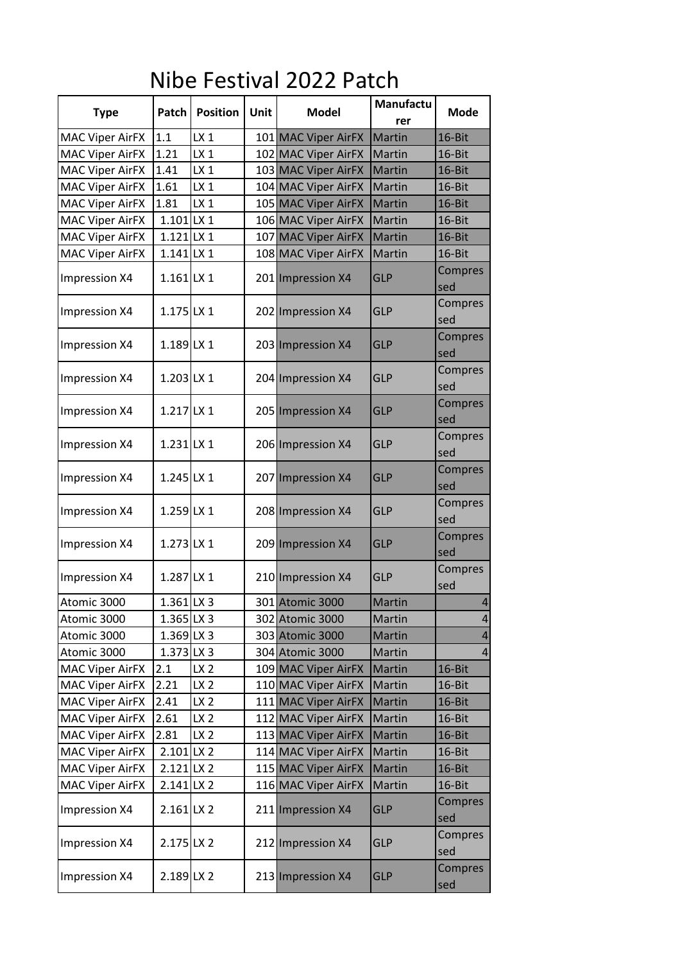## Nibe Festival 2022 Patch

|                        |              |                 |             |                     | <b>Manufactu</b> |                       |
|------------------------|--------------|-----------------|-------------|---------------------|------------------|-----------------------|
| <b>Type</b>            | Patch        | <b>Position</b> | <b>Unit</b> | <b>Model</b>        | rer              | <b>Mode</b>           |
| <b>MAC Viper AirFX</b> | 1.1          | $LX_1$          |             | 101 MAC Viper AirFX | Martin           | 16-Bit                |
| <b>MAC Viper AirFX</b> | 1.21         | $LX_1$          |             | 102 MAC Viper AirFX | Martin           | 16-Bit                |
| <b>MAC Viper AirFX</b> | 1.41         | $LX_1$          |             | 103 MAC Viper AirFX | Martin           | 16-Bit                |
| <b>MAC Viper AirFX</b> | 1.61         | LX <sub>1</sub> |             | 104 MAC Viper AirFX | Martin           | 16-Bit                |
| <b>MAC Viper AirFX</b> | 1.81         | $LX_1$          |             | 105 MAC Viper AirFX | Martin           | 16-Bit                |
| <b>MAC Viper AirFX</b> | $1.101$ LX 1 |                 |             | 106 MAC Viper AirFX | Martin           | 16-Bit                |
| <b>MAC Viper AirFX</b> | $1.121$ LX 1 |                 |             | 107 MAC Viper AirFX | Martin           | 16-Bit                |
| <b>MAC Viper AirFX</b> | $1.141$ LX 1 |                 |             | 108 MAC Viper AirFX | Martin           | 16-Bit                |
| Impression X4          | $1.161$ LX 1 |                 |             | 201 Impression X4   | <b>GLP</b>       | Compres<br>sed        |
| Impression X4          | $1.175$ LX 1 |                 |             | 202 Impression X4   | <b>GLP</b>       | Compres<br>sed        |
| Impression X4          | $1.189$ LX 1 |                 |             | 203 Impression X4   | <b>GLP</b>       | Compres<br>sed        |
| Impression X4          | $1.203$ LX 1 |                 |             | 204 Impression X4   | <b>GLP</b>       | Compres<br>sed        |
| Impression X4          | $1.217$ LX 1 |                 |             | 205 Impression X4   | <b>GLP</b>       | Compres<br>sed        |
| Impression X4          | $1.231$ LX 1 |                 |             | 206 Impression X4   | <b>GLP</b>       | Compres<br>sed        |
| Impression X4          | $1.245$ LX 1 |                 |             | 207 Impression X4   | <b>GLP</b>       | Compres<br>sed        |
| Impression X4          | $1.259$ LX 1 |                 |             | 208 Impression X4   | <b>GLP</b>       | Compres<br>sed        |
| Impression X4          | $1.273$ LX 1 |                 |             | 209 Impression X4   | <b>GLP</b>       | Compres<br>sed        |
| Impression X4          | 1.287 LX 1   |                 |             | 210 Impression X4   | <b>GLP</b>       | Compres<br>sed        |
| Atomic 3000            | $1.361$ LX 3 |                 |             | 301 Atomic 3000     | Martin           | $\overline{4}$        |
| Atomic 3000            | $1.365$ LX 3 |                 |             | 302 Atomic 3000     | Martin           | 4                     |
| Atomic 3000            | $1.369$ LX 3 |                 |             | 303 Atomic 3000     | Martin           | 4                     |
| Atomic 3000            | $1.373$ LX 3 |                 |             | 304 Atomic 3000     | Martin           | $\overline{4}$        |
| <b>MAC Viper AirFX</b> | 2.1          | LX <sub>2</sub> |             | 109 MAC Viper AirFX | Martin           | 16-Bit                |
| <b>MAC Viper AirFX</b> | 2.21         | LX <sub>2</sub> |             | 110 MAC Viper AirFX | Martin           | 16-Bit                |
| <b>MAC Viper AirFX</b> | 2.41         | LX <sub>2</sub> |             | 111 MAC Viper AirFX | Martin           | 16-Bit                |
| <b>MAC Viper AirFX</b> | 2.61         | LX <sub>2</sub> |             | 112 MAC Viper AirFX | Martin           | 16-Bit                |
| <b>MAC Viper AirFX</b> | 2.81         | LX <sub>2</sub> |             | 113 MAC Viper AirFX | Martin           | $16 - Bit$            |
| <b>MAC Viper AirFX</b> | $2.101$ LX 2 |                 |             | 114 MAC Viper AirFX | Martin           | 16-Bit                |
| <b>MAC Viper AirFX</b> | $2.121$ LX 2 |                 |             | 115 MAC Viper AirFX | Martin           | 16-Bit                |
| <b>MAC Viper AirFX</b> | $2.141$ LX 2 |                 |             | 116 MAC Viper AirFX | Martin           | 16-Bit                |
| Impression X4          | $2.161$ LX 2 |                 |             | 211 Impression X4   | <b>GLP</b>       | Compres<br>sed        |
| Impression X4          | 2.175 LX 2   |                 |             | 212 Impression X4   | <b>GLP</b>       | Compres<br>sed        |
| Impression X4          | 2.189 LX 2   |                 |             | 213 Impression X4   | <b>GLP</b>       | <b>Compres</b><br>sed |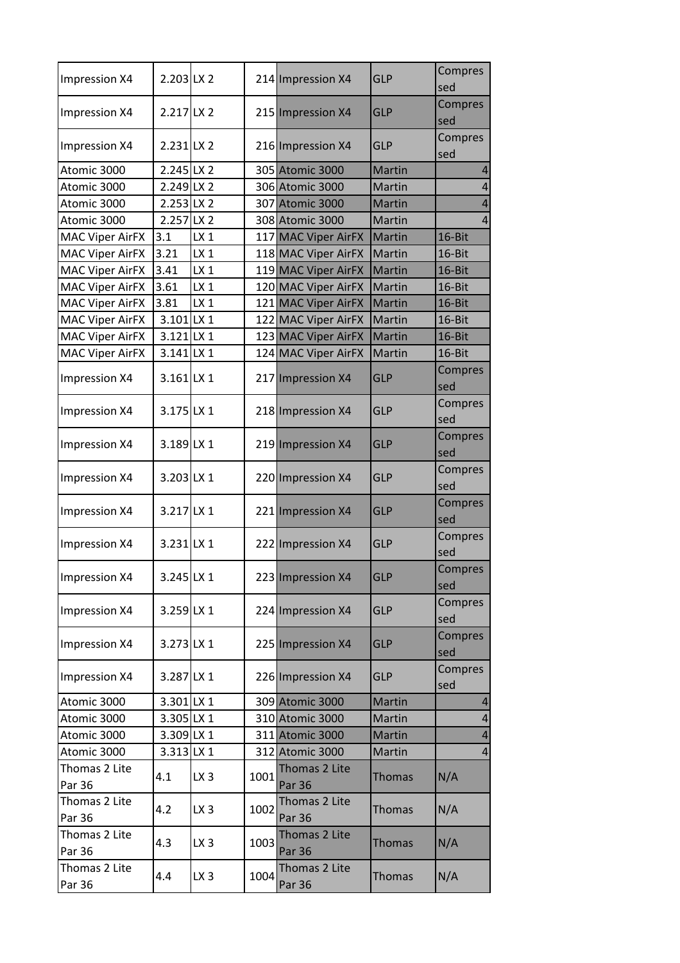| Impression X4           | $2.203$ LX 2 |                 |      | 214 Impression X4              | <b>GLP</b>    | Compres<br>sed        |
|-------------------------|--------------|-----------------|------|--------------------------------|---------------|-----------------------|
| Impression X4           | 2.217 LX 2   |                 |      | 215 Impression X4              | <b>GLP</b>    | Compres<br>sed        |
| Impression X4           | $2.231$ LX 2 |                 |      | 216 Impression X4              | <b>GLP</b>    | Compres<br>sed        |
| Atomic 3000             | 2.245 LX 2   |                 |      | 305 Atomic 3000                | <b>Martin</b> | $\overline{4}$        |
| Atomic 3000             | 2.249 LX 2   |                 |      | 306 Atomic 3000                | Martin        | $\overline{4}$        |
| Atomic 3000             | 2.253 LX 2   |                 |      | 307 Atomic 3000                | Martin        | $\overline{4}$        |
| Atomic 3000             | 2.257 LX 2   |                 |      | 308 Atomic 3000                | Martin        | 4                     |
| <b>MAC Viper AirFX</b>  | 3.1          | $LX_1$          |      | 117 MAC Viper AirFX            | Martin        | 16-Bit                |
| <b>MAC Viper AirFX</b>  | 3.21         | LX <sub>1</sub> |      | 118 MAC Viper AirFX            | Martin        | 16-Bit                |
| MAC Viper AirFX         | 3.41         | $LX_1$          |      | 119 MAC Viper AirFX            | Martin        | 16-Bit                |
| <b>MAC Viper AirFX</b>  | 3.61         | LX <sub>1</sub> |      | 120 MAC Viper AirFX            | Martin        | 16-Bit                |
| <b>MAC Viper AirFX</b>  | 3.81         | $LX_1$          |      | 121 MAC Viper AirFX            | Martin        | 16-Bit                |
| <b>MAC Viper AirFX</b>  | $3.101$ LX 1 |                 |      | 122 MAC Viper AirFX            | <b>Martin</b> | 16-Bit                |
| <b>MAC Viper AirFX</b>  | $3.121$ LX 1 |                 |      | 123 MAC Viper AirFX            | <b>Martin</b> | 16-Bit                |
| <b>MAC Viper AirFX</b>  | $3.141$ LX 1 |                 |      | 124 MAC Viper AirFX            | Martin        | 16-Bit                |
| Impression X4           | $3.161$ LX 1 |                 |      | 217 Impression X4              | <b>GLP</b>    | Compres<br>sed        |
| Impression X4           | 3.175 LX 1   |                 |      | 218 Impression X4              | <b>GLP</b>    | Compres<br>sed        |
| Impression X4           | 3.189 LX 1   |                 |      | 219 Impression X4              | <b>GLP</b>    | Compres<br>sed        |
| Impression X4           | 3.203 LX 1   |                 |      | 220 Impression X4              | <b>GLP</b>    | Compres<br>sed        |
| Impression X4           | 3.217 LX 1   |                 |      | 221 Impression X4              | <b>GLP</b>    | Compres<br>sed        |
| Impression X4           | $3.231$ LX 1 |                 |      | 222 Impression X4              | <b>GLP</b>    | Compres<br>sed        |
| Impression X4           | 3.245 LX 1   |                 |      | 223 Impression X4              | GLP           | Compres<br>sed        |
| Impression X4           | 3.259 LX 1   |                 |      | 224 Impression X4              | <b>GLP</b>    | <b>Compres</b><br>sed |
| Impression X4           | 3.273 LX 1   |                 |      | 225 Impression X4              | <b>GLP</b>    | <b>Compres</b><br>sed |
| Impression X4           | 3.287 LX 1   |                 |      | 226 Impression X4              | <b>GLP</b>    | Compres<br>sed        |
| Atomic 3000             | 3.301 LX 1   |                 |      | 309 Atomic 3000                | Martin        | 4                     |
| Atomic 3000             | 3.305 LX 1   |                 |      | 310 Atomic 3000                | Martin        | $\overline{4}$        |
| Atomic 3000             | 3.309 LX 1   |                 |      | 311 Atomic 3000                | Martin        | 4                     |
| Atomic 3000             | $3.313$ LX 1 |                 |      | 312 Atomic 3000                | Martin        | $\overline{4}$        |
| Thomas 2 Lite<br>Par 36 | 4.1          | LX <sub>3</sub> | 1001 | Thomas 2 Lite<br><b>Par 36</b> | <b>Thomas</b> | N/A                   |
| Thomas 2 Lite<br>Par 36 | 4.2          | LX <sub>3</sub> | 1002 | Thomas 2 Lite<br><b>Par 36</b> | Thomas        | N/A                   |
| Thomas 2 Lite<br>Par 36 | 4.3          | LX <sub>3</sub> | 1003 | Thomas 2 Lite<br><b>Par 36</b> | Thomas        | N/A                   |
| Thomas 2 Lite<br>Par 36 | 4.4          | LX <sub>3</sub> | 1004 | Thomas 2 Lite<br><b>Par 36</b> | Thomas        | N/A                   |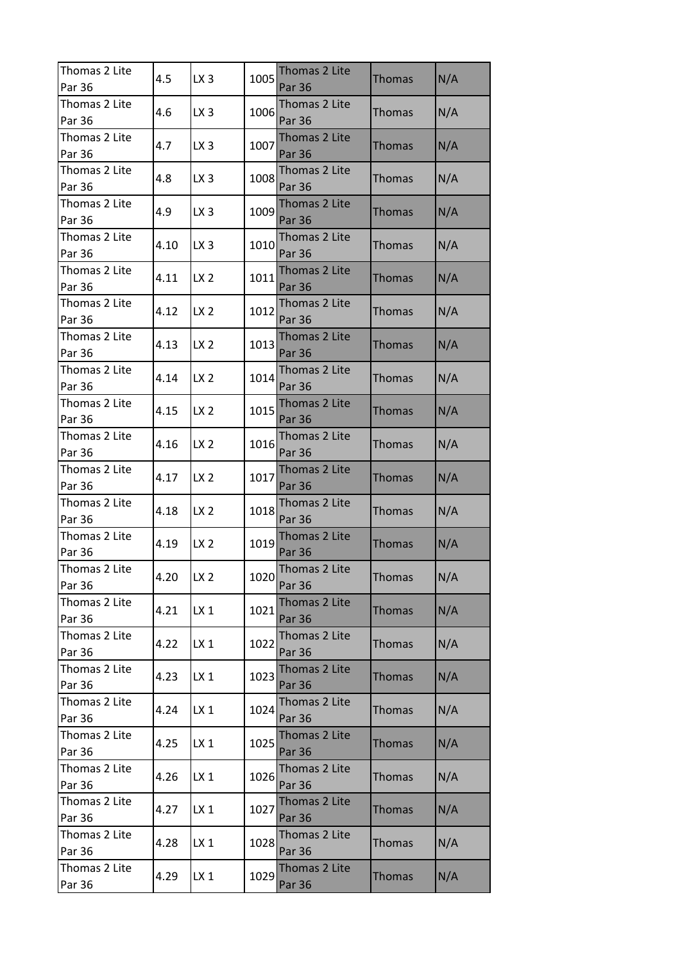| Thomas 2 Lite           | 4.5  | LX <sub>3</sub> | 1005 | Thomas 2 Lite                  | <b>Thomas</b> | N/A |
|-------------------------|------|-----------------|------|--------------------------------|---------------|-----|
| Par 36                  |      |                 |      | <b>Par 36</b>                  |               |     |
| Thomas 2 Lite<br>Par 36 | 4.6  | LX <sub>3</sub> | 1006 | Thomas 2 Lite<br><b>Par 36</b> | <b>Thomas</b> | N/A |
| Thomas 2 Lite<br>Par 36 | 4.7  | LX <sub>3</sub> | 1007 | Thomas 2 Lite<br><b>Par 36</b> | Thomas        | N/A |
| Thomas 2 Lite<br>Par 36 | 4.8  | LX <sub>3</sub> | 1008 | Thomas 2 Lite<br>Par 36        | Thomas        | N/A |
| Thomas 2 Lite<br>Par 36 | 4.9  | LX <sub>3</sub> | 1009 | Thomas 2 Lite<br><b>Par 36</b> | <b>Thomas</b> | N/A |
| Thomas 2 Lite<br>Par 36 | 4.10 | LX <sub>3</sub> | 1010 | Thomas 2 Lite<br>Par 36        | <b>Thomas</b> | N/A |
| Thomas 2 Lite<br>Par 36 | 4.11 | LX <sub>2</sub> | 1011 | Thomas 2 Lite<br><b>Par 36</b> | <b>Thomas</b> | N/A |
| Thomas 2 Lite<br>Par 36 | 4.12 | LX <sub>2</sub> | 1012 | Thomas 2 Lite<br><b>Par 36</b> | Thomas        | N/A |
| Thomas 2 Lite<br>Par 36 | 4.13 | LX <sub>2</sub> | 1013 | Thomas 2 Lite<br><b>Par 36</b> | <b>Thomas</b> | N/A |
| Thomas 2 Lite<br>Par 36 | 4.14 | LX <sub>2</sub> | 1014 | Thomas 2 Lite<br>Par 36        | <b>Thomas</b> | N/A |
| Thomas 2 Lite<br>Par 36 | 4.15 | LX <sub>2</sub> | 1015 | Thomas 2 Lite<br><b>Par 36</b> | Thomas        | N/A |
| Thomas 2 Lite<br>Par 36 | 4.16 | LX <sub>2</sub> | 1016 | Thomas 2 Lite<br><b>Par 36</b> | <b>Thomas</b> | N/A |
| Thomas 2 Lite<br>Par 36 | 4.17 | LX <sub>2</sub> | 1017 | Thomas 2 Lite<br><b>Par 36</b> | Thomas        | N/A |
| Thomas 2 Lite<br>Par 36 | 4.18 | LX <sub>2</sub> | 1018 | Thomas 2 Lite<br><b>Par 36</b> | <b>Thomas</b> | N/A |
| Thomas 2 Lite<br>Par 36 | 4.19 | LX <sub>2</sub> | 1019 | Thomas 2 Lite<br><b>Par 36</b> | <b>Thomas</b> | N/A |
| Thomas 2 Lite<br>Par 36 | 4.20 | LX <sub>2</sub> | 1020 | Thomas 2 Lite<br><b>Par 36</b> | Thomas        | N/A |
| Thomas 2 Lite<br>Par 36 | 4.21 | $LX_1$          | 1021 | Thomas 2 Lite<br><b>Par 36</b> | Thomas        | N/A |
| Thomas 2 Lite<br>Par 36 | 4.22 | $LX_1$          | 1022 | Thomas 2 Lite<br><b>Par 36</b> | <b>Thomas</b> | N/A |
| Thomas 2 Lite<br>Par 36 | 4.23 | $LX_1$          | 1023 | Thomas 2 Lite<br><b>Par 36</b> | <b>Thomas</b> | N/A |
| Thomas 2 Lite<br>Par 36 | 4.24 | $LX_1$          | 1024 | Thomas 2 Lite<br><b>Par 36</b> | <b>Thomas</b> | N/A |
| Thomas 2 Lite<br>Par 36 | 4.25 | $LX_1$          | 1025 | Thomas 2 Lite<br><b>Par 36</b> | <b>Thomas</b> | N/A |
| Thomas 2 Lite<br>Par 36 | 4.26 | $LX_1$          | 1026 | Thomas 2 Lite<br><b>Par 36</b> | <b>Thomas</b> | N/A |
| Thomas 2 Lite<br>Par 36 | 4.27 | $LX_1$          | 1027 | Thomas 2 Lite<br><b>Par 36</b> | Thomas        | N/A |
| Thomas 2 Lite<br>Par 36 | 4.28 | $LX_1$          | 1028 | Thomas 2 Lite<br><b>Par 36</b> | <b>Thomas</b> | N/A |
| Thomas 2 Lite<br>Par 36 | 4.29 | LX <sub>1</sub> | 1029 | Thomas 2 Lite<br>Par 36        | <b>Thomas</b> | N/A |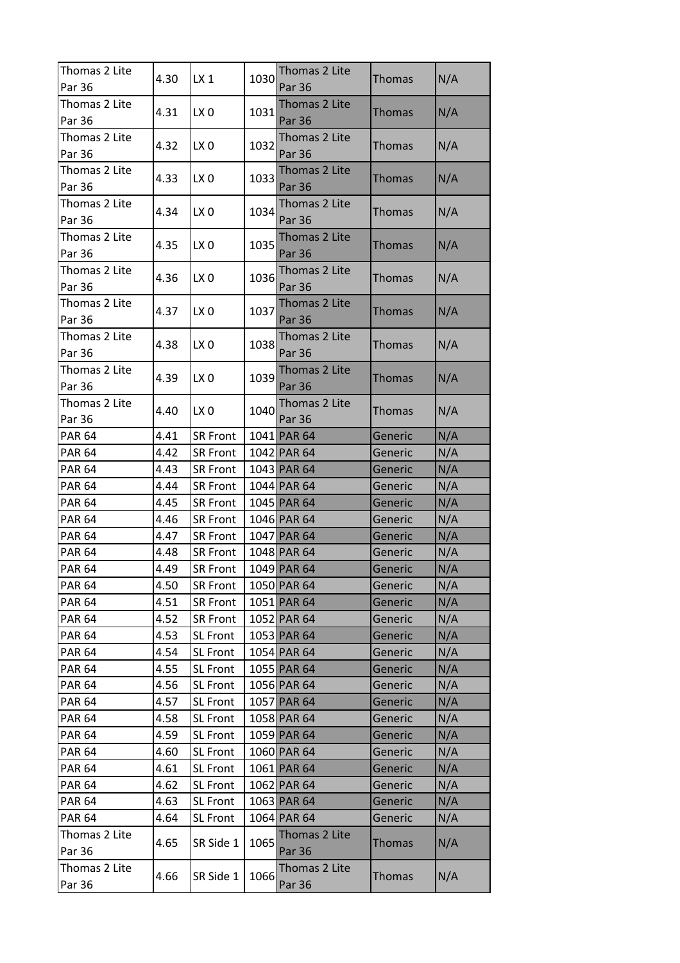| Thomas 2 Lite           | 4.30 | LX1             | 1030 | Thomas 2 Lite                  | <b>Thomas</b> | N/A |
|-------------------------|------|-----------------|------|--------------------------------|---------------|-----|
| Par 36                  |      |                 |      | <b>Par 36</b>                  |               |     |
| Thomas 2 Lite<br>Par 36 | 4.31 | LX <sub>0</sub> | 1031 | Thomas 2 Lite<br><b>Par 36</b> | Thomas        | N/A |
| Thomas 2 Lite           |      |                 |      | Thomas 2 Lite                  |               |     |
| Par 36                  | 4.32 | LX <sub>0</sub> | 1032 | Par 36                         | Thomas        | N/A |
| Thomas 2 Lite           |      |                 |      | Thomas 2 Lite                  |               |     |
| Par 36                  | 4.33 | LX <sub>0</sub> | 1033 | <b>Par 36</b>                  | <b>Thomas</b> | N/A |
| Thomas 2 Lite           | 4.34 | LX <sub>0</sub> | 1034 | Thomas 2 Lite                  | Thomas        | N/A |
| Par 36                  |      |                 |      | <b>Par 36</b>                  |               |     |
| Thomas 2 Lite           | 4.35 | LX <sub>0</sub> | 1035 | Thomas 2 Lite                  | Thomas        | N/A |
| Par 36                  |      |                 |      | <b>Par 36</b>                  |               |     |
| Thomas 2 Lite           | 4.36 |                 | 1036 | Thomas 2 Lite                  |               | N/A |
| Par 36                  |      | LX <sub>0</sub> |      | <b>Par 36</b>                  | <b>Thomas</b> |     |
| Thomas 2 Lite           | 4.37 | LX <sub>0</sub> | 1037 | Thomas 2 Lite                  |               | N/A |
| Par 36                  |      |                 |      | <b>Par 36</b>                  | <b>Thomas</b> |     |
| Thomas 2 Lite           |      |                 |      | Thomas 2 Lite                  |               |     |
| Par 36                  | 4.38 | LX <sub>0</sub> | 1038 | <b>Par 36</b>                  | <b>Thomas</b> | N/A |
| Thomas 2 Lite           |      |                 |      | Thomas 2 Lite                  |               |     |
| Par 36                  | 4.39 | LX <sub>0</sub> | 1039 | Par 36                         | <b>Thomas</b> | N/A |
| Thomas 2 Lite           |      |                 |      | Thomas 2 Lite                  |               |     |
| Par 36                  | 4.40 | LX <sub>0</sub> | 1040 | Par 36                         | Thomas        | N/A |
| <b>PAR 64</b>           | 4.41 | <b>SR Front</b> |      | 1041 PAR 64                    | Generic       | N/A |
| <b>PAR 64</b>           | 4.42 | <b>SR Front</b> |      | 1042 PAR 64                    | Generic       | N/A |
| <b>PAR 64</b>           | 4.43 | <b>SR Front</b> |      | 1043 PAR 64                    | Generic       | N/A |
| <b>PAR 64</b>           | 4.44 | <b>SR Front</b> |      | 1044 PAR 64                    | Generic       | N/A |
| <b>PAR 64</b>           | 4.45 | <b>SR Front</b> |      | 1045 PAR 64                    | Generic       | N/A |
| <b>PAR 64</b>           | 4.46 | <b>SR Front</b> |      | 1046 PAR 64                    | Generic       | N/A |
| <b>PAR 64</b>           | 4.47 | <b>SR Front</b> |      | 1047 PAR 64                    | Generic       | N/A |
| <b>PAR 64</b>           | 4.48 | <b>SR Front</b> |      | 1048 PAR 64                    | Generic       | N/A |
| <b>PAR 64</b>           | 4.49 | <b>SR Front</b> |      | 1049 PAR 64                    | Generic       | N/A |
| <b>PAR 64</b>           | 4.50 | <b>SR Front</b> |      | 1050 PAR 64                    | Generic       | N/A |
| <b>PAR 64</b>           | 4.51 | <b>SR Front</b> |      | 1051 PAR 64                    | Generic       | N/A |
| <b>PAR 64</b>           | 4.52 | <b>SR Front</b> |      | 1052 PAR 64                    | Generic       | N/A |
| <b>PAR 64</b>           | 4.53 | SL Front        |      | 1053 PAR 64                    | Generic       | N/A |
| <b>PAR 64</b>           | 4.54 | SL Front        |      | 1054 PAR 64                    | Generic       | N/A |
| <b>PAR 64</b>           | 4.55 | SL Front        |      | 1055 PAR 64                    | Generic       | N/A |
| <b>PAR 64</b>           | 4.56 | SL Front        |      | 1056 PAR 64                    | Generic       | N/A |
| <b>PAR 64</b>           | 4.57 | SL Front        |      | 1057 PAR 64                    | Generic       | N/A |
| <b>PAR 64</b>           | 4.58 | <b>SL Front</b> |      | 1058 PAR 64                    | Generic       | N/A |
| <b>PAR 64</b>           | 4.59 | <b>SL Front</b> |      | 1059 PAR 64                    | Generic       | N/A |
| <b>PAR 64</b>           | 4.60 | SL Front        |      | 1060 PAR 64                    | Generic       | N/A |
| <b>PAR 64</b>           | 4.61 | SL Front        |      | 1061 PAR 64                    | Generic       | N/A |
| <b>PAR 64</b>           | 4.62 | SL Front        |      | 1062 PAR 64                    | Generic       | N/A |
| <b>PAR 64</b>           | 4.63 | SL Front        |      | 1063 PAR 64                    | Generic       | N/A |
| <b>PAR 64</b>           |      | SL Front        |      | 1064 PAR 64                    |               |     |
|                         | 4.64 |                 |      |                                | Generic       | N/A |
| Thomas 2 Lite<br>Par 36 | 4.65 | SR Side 1       | 1065 | Thomas 2 Lite<br><b>Par 36</b> | Thomas        | N/A |
| Thomas 2 Lite           |      |                 |      |                                |               |     |
|                         | 4.66 | SR Side 1       | 1066 | Thomas 2 Lite                  | Thomas        | N/A |
| Par 36                  |      |                 |      | Par 36                         |               |     |